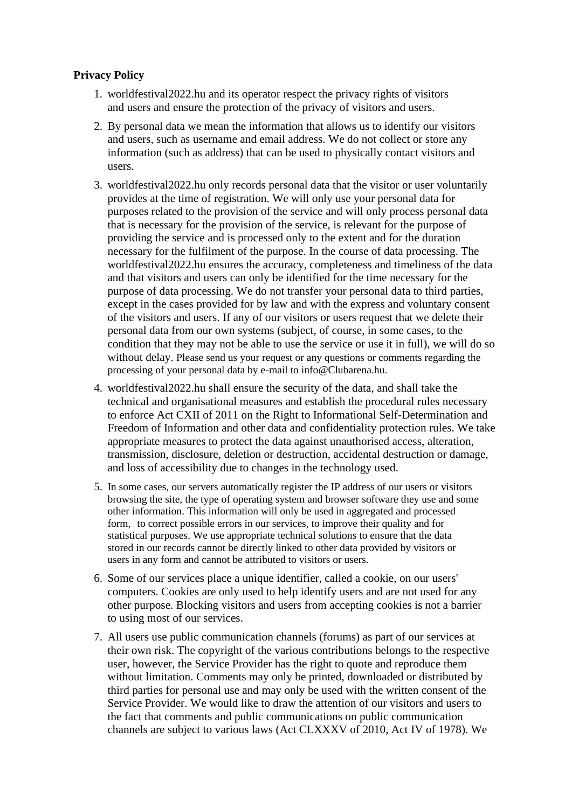## **Privacy Policy**

- 1. worldfestival2022.hu and its operator respect the privacy rights of visitors and users and ensure the protection of the privacy of visitors and users.
- 2. By personal data we mean the information that allows us to identify our visitors and users, such as username and email address. We do not collect or store any information (such as address) that can be used to physically contact visitors and users.
- 3. worldfestival2022.hu only records personal data that the visitor or user voluntarily provides at the time of registration. We will only use your personal data for purposes related to the provision of the service and will only process personal data that is necessary for the provision of the service, is relevant for the purpose of providing the service and is processed only to the extent and for the duration necessary for the fulfilment of the purpose. In the course of data processing. The worldfestival2022.hu ensures the accuracy, completeness and timeliness of the data and that visitors and users can only be identified for the time necessary for the purpose of data processing. We do not transfer your personal data to third parties, except in the cases provided for by law and with the express and voluntary consent of the visitors and users. If any of our visitors or users request that we delete their personal data from our own systems (subject, of course, in some cases, to the condition that they may not be able to use the service or use it in full), we will do so without delay. Please send us your request or any questions or comments regarding the processing of your personal data by e-mail to info@Clubarena.hu.
- 4. worldfestival2022.hu shall ensure the security of the data, and shall take the technical and organisational measures and establish the procedural rules necessary to enforce Act CXII of 2011 on the Right to Informational Self-Determination and Freedom of Information and other data and confidentiality protection rules. We take appropriate measures to protect the data against unauthorised access, alteration, transmission, disclosure, deletion or destruction, accidental destruction or damage, and loss of accessibility due to changes in the technology used.
- 5. In some cases, our servers automatically register the IP address of our users or visitors browsing the site, the type of operating system and browser software they use and some other information. This information will only be used in aggregated and processed form, to correct possible errors in our services, to improve their quality and for statistical purposes. We use appropriate technical solutions to ensure that the data stored in our records cannot be directly linked to other data provided by visitors or users in any form and cannot be attributed to visitors or users.
- 6. Some of our services place a unique identifier, called a cookie, on our users' computers. Cookies are only used to help identify users and are not used for any other purpose. Blocking visitors and users from accepting cookies is not a barrier to using most of our services.
- 7. All users use public communication channels (forums) as part of our services at their own risk. The copyright of the various contributions belongs to the respective user, however, the Service Provider has the right to quote and reproduce them without limitation. Comments may only be printed, downloaded or distributed by third parties for personal use and may only be used with the written consent of the Service Provider. We would like to draw the attention of our visitors and users to the fact that comments and public communications on public communication channels are subject to various laws (Act CLXXXV of 2010, Act IV of 1978). We